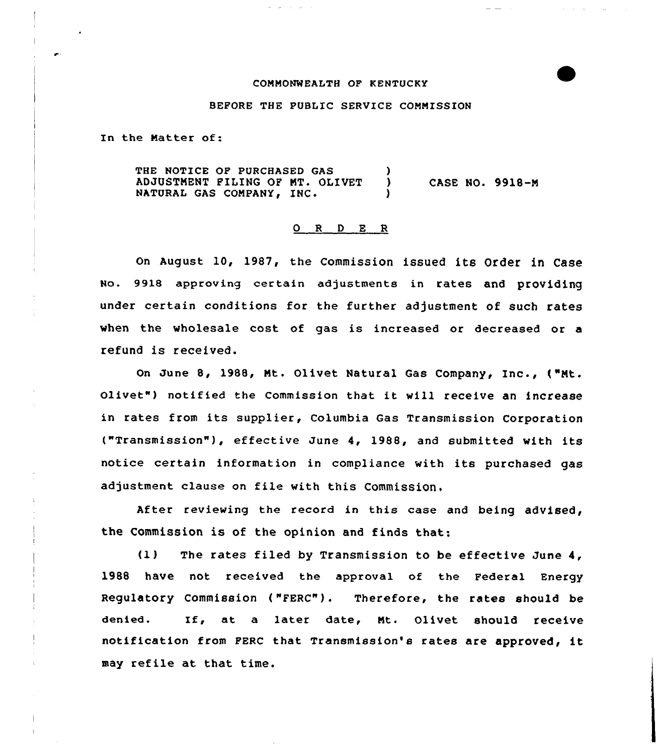## COMMONWEALTH OP KENTUCKY



## BEFORE THE PUBLIC SERVICE COMMISSION

In the Matter of:

THE NOTICE OF PURCHASED GAS (a) ADJUSTMENT FILING OF MT. OLIVET NATURAL GAS COMPANY, INC. CASE NO. 9918-M

## 0 R <sup>D</sup> E R

on August lo, 1987, the commission issued its order in Case No. 9918 approving certain adjustments in rates and providing under certain conditions for the further adjustment of such rates when the wholesale cost of gas is increased or decreased or a refund is received.

On June 8, 1988, Mt. Olivet Natural Gas Company, Inc., ("Mt. Olivet") notified the Commission that it will receive an increase in rates from its supplier, Columbia Gas Transmission Corporation ("Transmission" ), effective June 4, 1988, and submitted with its notice certain information in compliance with its purchased gas adjustment clause on file with this Commission.

After reviewing the record in this case and being advised, the Commission is of the opinion and finds that:

(1) The rates filed by Transmission to be effective June 4, 1988 have not received the approval of the pederal Energy Regulatory Commission ("FERC"). Therefore, the rates should be denied. If, at <sup>a</sup> later date, Mt. olivet should receive notification from pERc that Transmission's rates are approved, it may refile at that time.